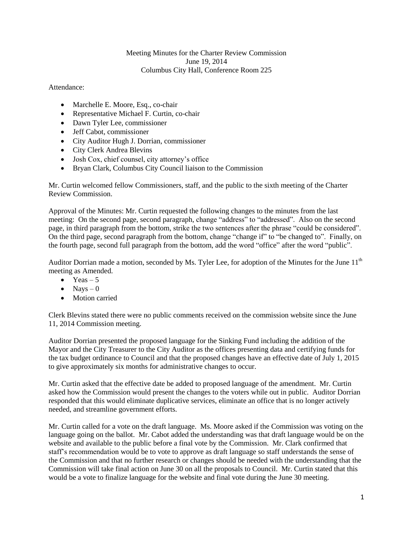## Meeting Minutes for the Charter Review Commission June 19, 2014 Columbus City Hall, Conference Room 225

## Attendance:

- Marchelle E. Moore, Esq., co-chair
- Representative Michael F. Curtin, co-chair
- Dawn Tyler Lee, commissioner
- Jeff Cabot, commissioner
- City Auditor Hugh J. Dorrian, commissioner
- City Clerk Andrea Blevins
- Josh Cox, chief counsel, city attorney's office
- Bryan Clark, Columbus City Council liaison to the Commission

Mr. Curtin welcomed fellow Commissioners, staff, and the public to the sixth meeting of the Charter Review Commission.

Approval of the Minutes: Mr. Curtin requested the following changes to the minutes from the last meeting: On the second page, second paragraph, change "address" to "addressed". Also on the second page, in third paragraph from the bottom, strike the two sentences after the phrase "could be considered". On the third page, second paragraph from the bottom, change "change if" to "be changed to". Finally, on the fourth page, second full paragraph from the bottom, add the word "office" after the word "public".

Auditor Dorrian made a motion, seconded by Ms. Tyler Lee, for adoption of the Minutes for the June 11<sup>th</sup> meeting as Amended.

- $\bullet$  Yeas 5
- $\bullet$  Nays 0
- Motion carried

Clerk Blevins stated there were no public comments received on the commission website since the June 11, 2014 Commission meeting.

Auditor Dorrian presented the proposed language for the Sinking Fund including the addition of the Mayor and the City Treasurer to the City Auditor as the offices presenting data and certifying funds for the tax budget ordinance to Council and that the proposed changes have an effective date of July 1, 2015 to give approximately six months for administrative changes to occur.

Mr. Curtin asked that the effective date be added to proposed language of the amendment. Mr. Curtin asked how the Commission would present the changes to the voters while out in public. Auditor Dorrian responded that this would eliminate duplicative services, eliminate an office that is no longer actively needed, and streamline government efforts.

Mr. Curtin called for a vote on the draft language. Ms. Moore asked if the Commission was voting on the language going on the ballot. Mr. Cabot added the understanding was that draft language would be on the website and available to the public before a final vote by the Commission. Mr. Clark confirmed that staff's recommendation would be to vote to approve as draft language so staff understands the sense of the Commission and that no further research or changes should be needed with the understanding that the Commission will take final action on June 30 on all the proposals to Council. Mr. Curtin stated that this would be a vote to finalize language for the website and final vote during the June 30 meeting.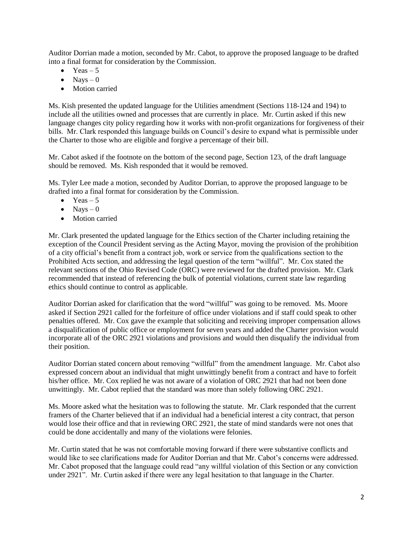Auditor Dorrian made a motion, seconded by Mr. Cabot, to approve the proposed language to be drafted into a final format for consideration by the Commission.

- Yeas  $-5$
- $\bullet$  Navs 0
- Motion carried

Ms. Kish presented the updated language for the Utilities amendment (Sections 118-124 and 194) to include all the utilities owned and processes that are currently in place. Mr. Curtin asked if this new language changes city policy regarding how it works with non-profit organizations for forgiveness of their bills. Mr. Clark responded this language builds on Council's desire to expand what is permissible under the Charter to those who are eligible and forgive a percentage of their bill.

Mr. Cabot asked if the footnote on the bottom of the second page, Section 123, of the draft language should be removed. Ms. Kish responded that it would be removed.

Ms. Tyler Lee made a motion, seconded by Auditor Dorrian, to approve the proposed language to be drafted into a final format for consideration by the Commission.

- $\bullet$  Yeas 5
- $\bullet$  Navs 0
- Motion carried

Mr. Clark presented the updated language for the Ethics section of the Charter including retaining the exception of the Council President serving as the Acting Mayor, moving the provision of the prohibition of a city official's benefit from a contract job, work or service from the qualifications section to the Prohibited Acts section, and addressing the legal question of the term "willful". Mr. Cox stated the relevant sections of the Ohio Revised Code (ORC) were reviewed for the drafted provision. Mr. Clark recommended that instead of referencing the bulk of potential violations, current state law regarding ethics should continue to control as applicable.

Auditor Dorrian asked for clarification that the word "willful" was going to be removed. Ms. Moore asked if Section 2921 called for the forfeiture of office under violations and if staff could speak to other penalties offered. Mr. Cox gave the example that soliciting and receiving improper compensation allows a disqualification of public office or employment for seven years and added the Charter provision would incorporate all of the ORC 2921 violations and provisions and would then disqualify the individual from their position.

Auditor Dorrian stated concern about removing "willful" from the amendment language. Mr. Cabot also expressed concern about an individual that might unwittingly benefit from a contract and have to forfeit his/her office. Mr. Cox replied he was not aware of a violation of ORC 2921 that had not been done unwittingly. Mr. Cabot replied that the standard was more than solely following ORC 2921.

Ms. Moore asked what the hesitation was to following the statute. Mr. Clark responded that the current framers of the Charter believed that if an individual had a beneficial interest a city contract, that person would lose their office and that in reviewing ORC 2921, the state of mind standards were not ones that could be done accidentally and many of the violations were felonies.

Mr. Curtin stated that he was not comfortable moving forward if there were substantive conflicts and would like to see clarifications made for Auditor Dorrian and that Mr. Cabot's concerns were addressed. Mr. Cabot proposed that the language could read "any willful violation of this Section or any conviction under 2921". Mr. Curtin asked if there were any legal hesitation to that language in the Charter.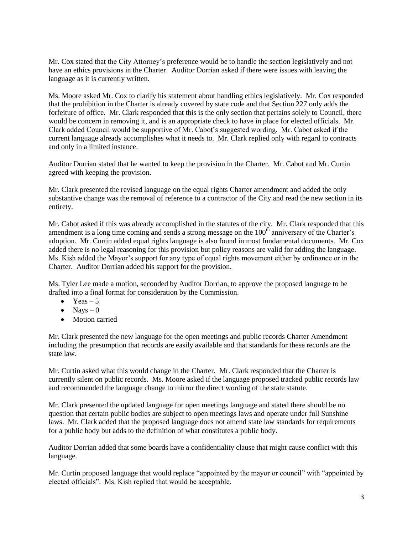Mr. Cox stated that the City Attorney's preference would be to handle the section legislatively and not have an ethics provisions in the Charter. Auditor Dorrian asked if there were issues with leaving the language as it is currently written.

Ms. Moore asked Mr. Cox to clarify his statement about handling ethics legislatively. Mr. Cox responded that the prohibition in the Charter is already covered by state code and that Section 227 only adds the forfeiture of office. Mr. Clark responded that this is the only section that pertains solely to Council, there would be concern in removing it, and is an appropriate check to have in place for elected officials. Mr. Clark added Council would be supportive of Mr. Cabot's suggested wording. Mr. Cabot asked if the current language already accomplishes what it needs to. Mr. Clark replied only with regard to contracts and only in a limited instance.

Auditor Dorrian stated that he wanted to keep the provision in the Charter. Mr. Cabot and Mr. Curtin agreed with keeping the provision.

Mr. Clark presented the revised language on the equal rights Charter amendment and added the only substantive change was the removal of reference to a contractor of the City and read the new section in its entirety.

Mr. Cabot asked if this was already accomplished in the statutes of the city. Mr. Clark responded that this amendment is a long time coming and sends a strong message on the 100<sup>th</sup> anniversary of the Charter's adoption. Mr. Curtin added equal rights language is also found in most fundamental documents. Mr. Cox added there is no legal reasoning for this provision but policy reasons are valid for adding the language. Ms. Kish added the Mayor's support for any type of equal rights movement either by ordinance or in the Charter. Auditor Dorrian added his support for the provision.

Ms. Tyler Lee made a motion, seconded by Auditor Dorrian, to approve the proposed language to be drafted into a final format for consideration by the Commission.

- $\bullet$  Yeas 5
- $\bullet$  Navs 0
- Motion carried

Mr. Clark presented the new language for the open meetings and public records Charter Amendment including the presumption that records are easily available and that standards for these records are the state law.

Mr. Curtin asked what this would change in the Charter. Mr. Clark responded that the Charter is currently silent on public records. Ms. Moore asked if the language proposed tracked public records law and recommended the language change to mirror the direct wording of the state statute.

Mr. Clark presented the updated language for open meetings language and stated there should be no question that certain public bodies are subject to open meetings laws and operate under full Sunshine laws. Mr. Clark added that the proposed language does not amend state law standards for requirements for a public body but adds to the definition of what constitutes a public body.

Auditor Dorrian added that some boards have a confidentiality clause that might cause conflict with this language.

Mr. Curtin proposed language that would replace "appointed by the mayor or council" with "appointed by elected officials". Ms. Kish replied that would be acceptable.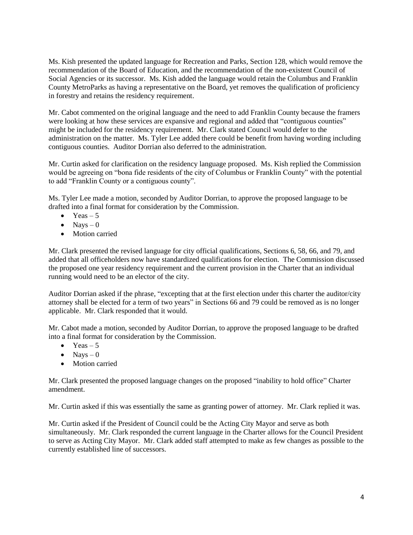Ms. Kish presented the updated language for Recreation and Parks, Section 128, which would remove the recommendation of the Board of Education, and the recommendation of the non-existent Council of Social Agencies or its successor. Ms. Kish added the language would retain the Columbus and Franklin County MetroParks as having a representative on the Board, yet removes the qualification of proficiency in forestry and retains the residency requirement.

Mr. Cabot commented on the original language and the need to add Franklin County because the framers were looking at how these services are expansive and regional and added that "contiguous counties" might be included for the residency requirement. Mr. Clark stated Council would defer to the administration on the matter. Ms. Tyler Lee added there could be benefit from having wording including contiguous counties. Auditor Dorrian also deferred to the administration.

Mr. Curtin asked for clarification on the residency language proposed. Ms. Kish replied the Commission would be agreeing on "bona fide residents of the city of Columbus or Franklin County" with the potential to add "Franklin County or a contiguous county".

Ms. Tyler Lee made a motion, seconded by Auditor Dorrian, to approve the proposed language to be drafted into a final format for consideration by the Commission.

- $\bullet$  Yeas 5
- $\bullet$  Nays 0
- Motion carried

Mr. Clark presented the revised language for city official qualifications, Sections 6, 58, 66, and 79, and added that all officeholders now have standardized qualifications for election. The Commission discussed the proposed one year residency requirement and the current provision in the Charter that an individual running would need to be an elector of the city.

Auditor Dorrian asked if the phrase, "excepting that at the first election under this charter the auditor/city attorney shall be elected for a term of two years" in Sections 66 and 79 could be removed as is no longer applicable. Mr. Clark responded that it would.

Mr. Cabot made a motion, seconded by Auditor Dorrian, to approve the proposed language to be drafted into a final format for consideration by the Commission.

- $\bullet$  Yeas 5
- $\bullet$  Navs 0
- Motion carried

Mr. Clark presented the proposed language changes on the proposed "inability to hold office" Charter amendment.

Mr. Curtin asked if this was essentially the same as granting power of attorney. Mr. Clark replied it was.

Mr. Curtin asked if the President of Council could be the Acting City Mayor and serve as both simultaneously. Mr. Clark responded the current language in the Charter allows for the Council President to serve as Acting City Mayor. Mr. Clark added staff attempted to make as few changes as possible to the currently established line of successors.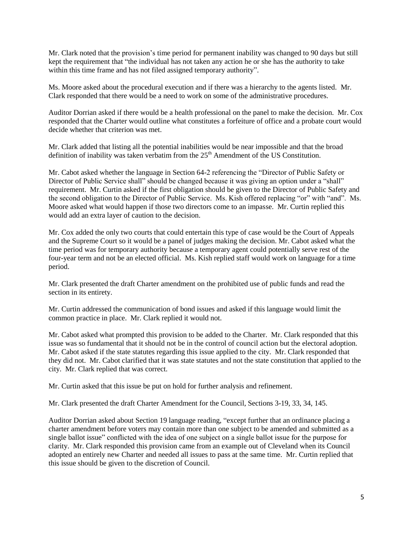Mr. Clark noted that the provision's time period for permanent inability was changed to 90 days but still kept the requirement that "the individual has not taken any action he or she has the authority to take within this time frame and has not filed assigned temporary authority".

Ms. Moore asked about the procedural execution and if there was a hierarchy to the agents listed. Mr. Clark responded that there would be a need to work on some of the administrative procedures.

Auditor Dorrian asked if there would be a health professional on the panel to make the decision. Mr. Cox responded that the Charter would outline what constitutes a forfeiture of office and a probate court would decide whether that criterion was met.

Mr. Clark added that listing all the potential inabilities would be near impossible and that the broad definition of inability was taken verbatim from the  $25<sup>th</sup>$  Amendment of the US Constitution.

Mr. Cabot asked whether the language in Section 64-2 referencing the "Director of Public Safety or Director of Public Service shall" should be changed because it was giving an option under a "shall" requirement. Mr. Curtin asked if the first obligation should be given to the Director of Public Safety and the second obligation to the Director of Public Service. Ms. Kish offered replacing "or" with "and". Ms. Moore asked what would happen if those two directors come to an impasse. Mr. Curtin replied this would add an extra layer of caution to the decision.

Mr. Cox added the only two courts that could entertain this type of case would be the Court of Appeals and the Supreme Court so it would be a panel of judges making the decision. Mr. Cabot asked what the time period was for temporary authority because a temporary agent could potentially serve rest of the four-year term and not be an elected official. Ms. Kish replied staff would work on language for a time period.

Mr. Clark presented the draft Charter amendment on the prohibited use of public funds and read the section in its entirety.

Mr. Curtin addressed the communication of bond issues and asked if this language would limit the common practice in place. Mr. Clark replied it would not.

Mr. Cabot asked what prompted this provision to be added to the Charter. Mr. Clark responded that this issue was so fundamental that it should not be in the control of council action but the electoral adoption. Mr. Cabot asked if the state statutes regarding this issue applied to the city. Mr. Clark responded that they did not. Mr. Cabot clarified that it was state statutes and not the state constitution that applied to the city. Mr. Clark replied that was correct.

Mr. Curtin asked that this issue be put on hold for further analysis and refinement.

Mr. Clark presented the draft Charter Amendment for the Council, Sections 3-19, 33, 34, 145.

Auditor Dorrian asked about Section 19 language reading, "except further that an ordinance placing a charter amendment before voters may contain more than one subject to be amended and submitted as a single ballot issue" conflicted with the idea of one subject on a single ballot issue for the purpose for clarity. Mr. Clark responded this provision came from an example out of Cleveland when its Council adopted an entirely new Charter and needed all issues to pass at the same time. Mr. Curtin replied that this issue should be given to the discretion of Council.